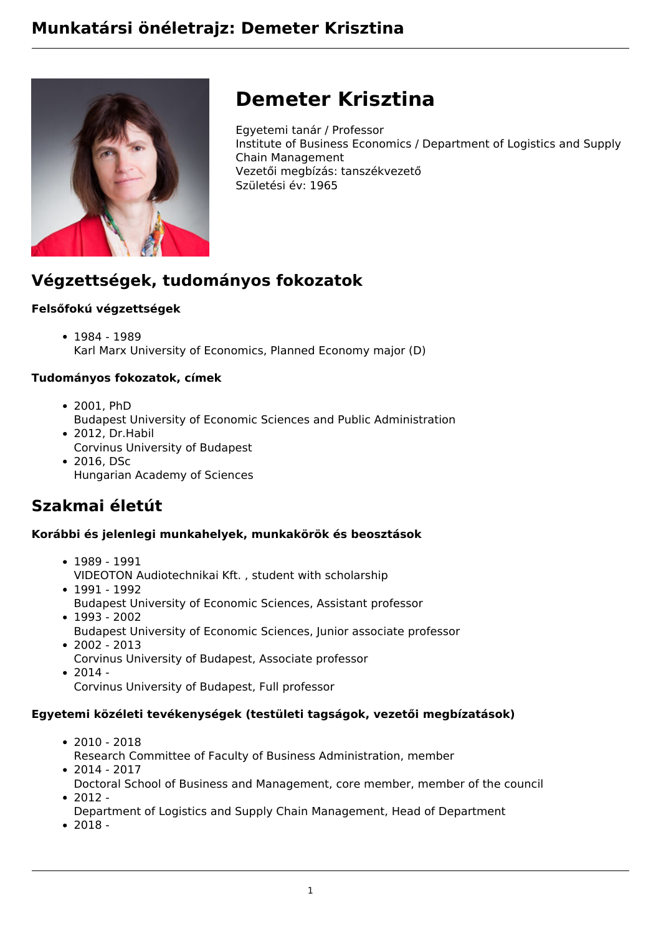

# **Demeter Krisztina**

Egyetemi tanár / Professor Institute of Business Economics / Department of Logistics and Supply Chain Management Vezetői megbízás: tanszékvezető Születési év: 1965

# **Végzettségek, tudományos fokozatok**

#### **Felsőfokú végzettségek**

• 1984 - 1989 Karl Marx University of Economics, Planned Economy major (D)

#### **Tudományos fokozatok, címek**

- 2001, PhD Budapest University of Economic Sciences and Public Administration
- 2012, Dr.Habil Corvinus University of Budapest
- 2016, DSc Hungarian Academy of Sciences

### **Szakmai életút**

#### **Korábbi és jelenlegi munkahelyek, munkakörök és beosztások**

- 1989 1991 VIDEOTON Audiotechnikai Kft. , student with scholarship
- 1991 1992 Budapest University of Economic Sciences, Assistant professor  $• 1993 - 2002$
- Budapest University of Economic Sciences, Junior associate professor  $• 2002 - 2013$
- Corvinus University of Budapest, Associate professor
- $2014 -$

Corvinus University of Budapest, Full professor

#### **Egyetemi közéleti tevékenységek (testületi tagságok, vezetői megbízatások)**

- 2010 2018
- Research Committee of Faculty of Business Administration, member  $• 2014 - 2017$
- Doctoral School of Business and Management, core member, member of the council  $-2012 -$
- Department of Logistics and Supply Chain Management, Head of Department
- 2018 -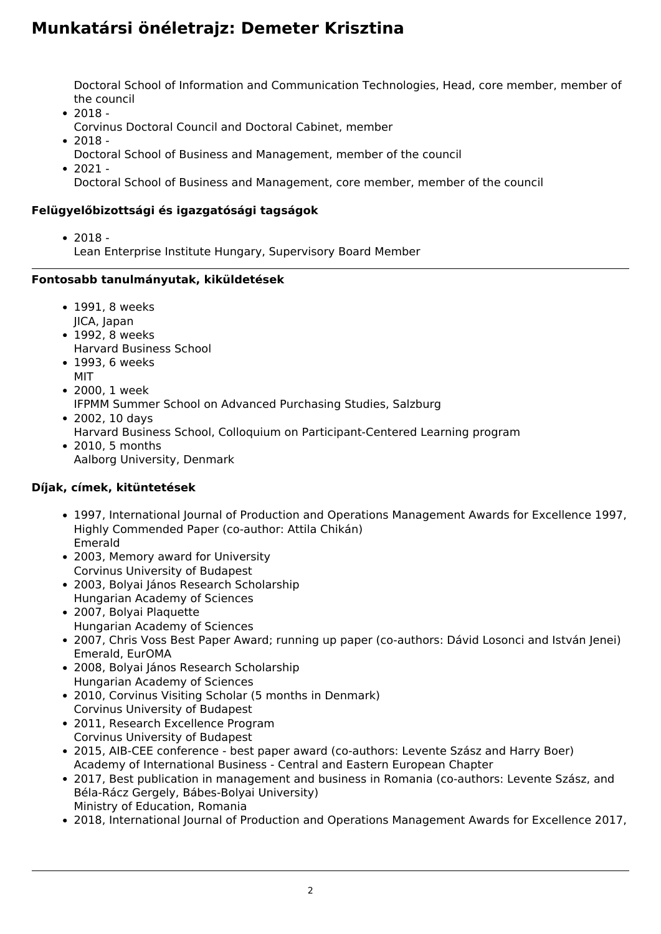Doctoral School of Information and Communication Technologies, Head, core member, member of the council

- $2018 -$ 
	- Corvinus Doctoral Council and Doctoral Cabinet, member
- 2018
	- Doctoral School of Business and Management, member of the council
- $2021 -$

Doctoral School of Business and Management, core member, member of the council

#### **Felügyelőbizottsági és igazgatósági tagságok**

 $• 2018 -$ 

Lean Enterprise Institute Hungary, Supervisory Board Member

#### **Fontosabb tanulmányutak, kiküldetések**

- 1991, 8 weeks JICA, Japan
- 1992, 8 weeks
- Harvard Business School
- 1993, 6 weeks MIT
- 2000, 1 week
- IFPMM Summer School on Advanced Purchasing Studies, Salzburg 2002, 10 days
	- Harvard Business School, Colloquium on Participant-Centered Learning program
- 2010, 5 months Aalborg University, Denmark

#### **Díjak, címek, kitüntetések**

- 1997, International Journal of Production and Operations Management Awards for Excellence 1997, Highly Commended Paper (co-author: Attila Chikán) Emerald
- 2003, Memory award for University Corvinus University of Budapest
- 2003, Bolyai János Research Scholarship Hungarian Academy of Sciences
- 2007, Bolyai Plaquette Hungarian Academy of Sciences
- 2007, Chris Voss Best Paper Award; running up paper (co-authors: Dávid Losonci and István Jenei) Emerald, EurOMA
- 2008, Bolyai János Research Scholarship Hungarian Academy of Sciences
- 2010, Corvinus Visiting Scholar (5 months in Denmark) Corvinus University of Budapest
- 2011, Research Excellence Program Corvinus University of Budapest
- 2015, AIB-CEE conference best paper award (co-authors: Levente Szász and Harry Boer) Academy of International Business - Central and Eastern European Chapter
- 2017, Best publication in management and business in Romania (co-authors: Levente Szász, and Béla-Rácz Gergely, Bábes-Bolyai University) Ministry of Education, Romania
- 2018, International Journal of Production and Operations Management Awards for Excellence 2017,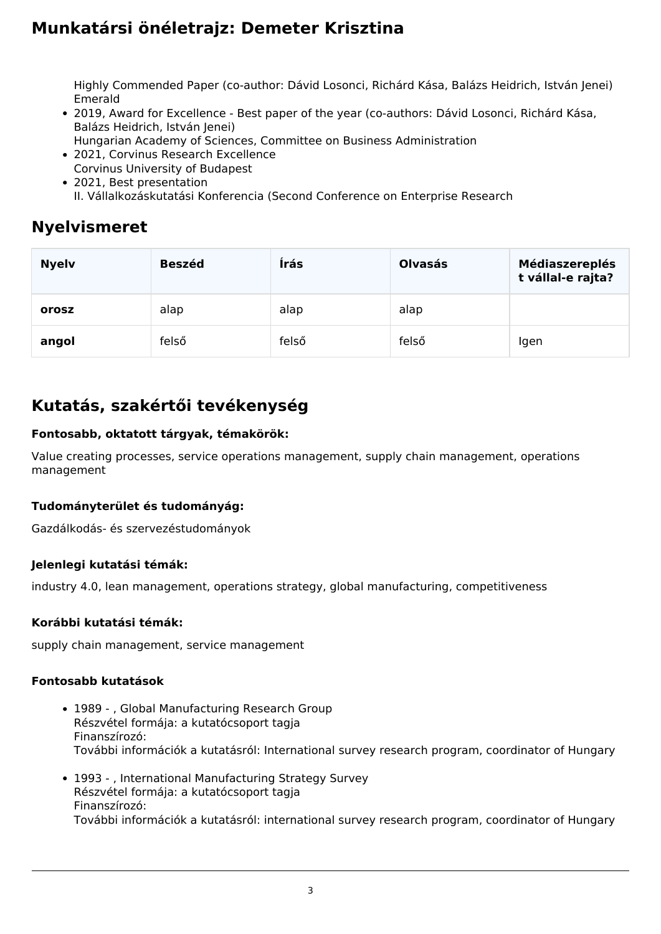Highly Commended Paper (co-author: Dávid Losonci, Richárd Kása, Balázs Heidrich, István Jenei) Emerald

- 2019, Award for Excellence Best paper of the year (co-authors: Dávid Losonci, Richárd Kása, Balázs Heidrich, István Jenei)
	- Hungarian Academy of Sciences, Committee on Business Administration
- 2021, Corvinus Research Excellence Corvinus University of Budapest
- 2021, Best presentation

II. Vállalkozáskutatási Konferencia (Second Conference on Enterprise Research

### **Nyelvismeret**

| <b>Nyelv</b> | <b>Beszéd</b> | Írás  | <b>Olvasás</b> | <b>Médiaszereplés</b><br>t vállal-e rajta? |
|--------------|---------------|-------|----------------|--------------------------------------------|
| orosz        | alap          | alap  | alap           |                                            |
| angol        | felső         | felső | felső          | Igen                                       |

### **Kutatás, szakértői tevékenység**

#### **Fontosabb, oktatott tárgyak, témakörök:**

Value creating processes, service operations management, supply chain management, operations management

#### **Tudományterület és tudományág:**

Gazdálkodás- és szervezéstudományok

#### **Jelenlegi kutatási témák:**

industry 4.0, lean management, operations strategy, global manufacturing, competitiveness

#### **Korábbi kutatási témák:**

supply chain management, service management

#### **Fontosabb kutatások**

- 1989 , Global Manufacturing Research Group Részvétel formája: a kutatócsoport tagja Finanszírozó: További információk a kutatásról: International survey research program, coordinator of Hungary
- 1993 , International Manufacturing Strategy Survey Részvétel formája: a kutatócsoport tagja Finanszírozó: További információk a kutatásról: international survey research program, coordinator of Hungary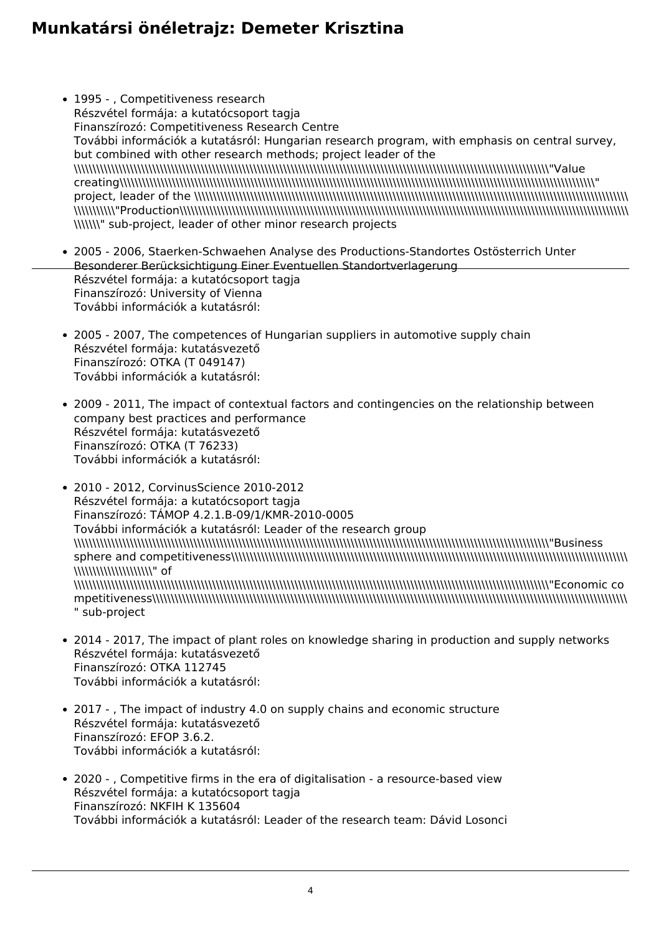- 1995 , Competitiveness research Részvétel formája: a kutatócsoport tagja Finanszírozó: Competitiveness Research Centre További információk a kutatásról: Hungarian research program, with emphasis on central survey, but combined with other research methods; project leader of the \\\\\\\\\\\\\\\\\\\\\\\\\\\\\\\\\\\\\\\\\\\\\\\\\\\\\\\\\\\\\\\\\\\\\\\\\\\\\\\\\\\\\\\\\\\\\\\\\\\\\\\\\\\\\\\\\\\\\\\\\\\\\\\"Value creating\\\\\\\\\\\\\\\\\\\\\\\\\\\\\\\\\\\\\\\\\\\\\\\\\\\\\\\\\\\\\\\\\\\\\\\\\\\\\\\\\\\\\\\\\\\\\\\\\\\\\\\\\\\\\\\\\\\\\\\\\\\\\\\" project, leader of the \\\\\\\\\\\\\\\\\\\\\\\\\\\\\\\\\\\\\\\\\\\\\\\\\\\\\\\\\\\\\\\\\\\\\\\\\\\\\\\\\\\\\\\\\\\\\\\\\\\\\\\\\\\\\\\\\\\\ \\\\\\\\\\\"Production\\\\\\\\\\\\\\\\\\\\\\\\\\\\\\\\\\\\\\\\\\\\\\\\\\\\\\\\\\\\\\\\\\\\\\\\\\\\\\\\\\\\\\\\\\\\\\\\\\\\\\\\\\\\\\\\\\\\\\\\ \\\\\\\" sub-project, leader of other minor research projects
- 2005 2006, Staerken-Schwaehen Analyse des Productions-Standortes Ostösterrich Unter Besonderer Berücksichtigung Einer Eventuellen Standortverlagerung Részvétel formája: a kutatócsoport tagja Finanszírozó: University of Vienna További információk a kutatásról:
- 2005 2007, The competences of Hungarian suppliers in automotive supply chain Részvétel formája: kutatásvezető Finanszírozó: OTKA (T 049147) További információk a kutatásról:
- 2009 2011, The impact of contextual factors and contingencies on the relationship between company best practices and performance Részvétel formája: kutatásvezető Finanszírozó: OTKA (T 76233) További információk a kutatásról:
- 2010 2012, CorvinusScience 2010-2012 Részvétel formája: a kutatócsoport tagja Finanszírozó: TÁMOP 4.2.1.B-09/1/KMR-2010-0005 További információk a kutatásról: Leader of the research group \\\\\\\\\\\\\\\\\\\\\\\\\\\\\\\\\\\\\\\\\\\\\\\\\\\\\\\\\\\\\\\\\\\\\\\\\\\\\\\\\\\\\\\\\\\\\\\\\\\\\\\\\\\\\\\\\\\\\\\\\\\\\\\"Business sphere and competitiveness\\\\\\\\\\\\\\\\\\\\\\\\\\\\\\\\\\\\\\\\\\\\\\\\\\\\\\\\\\\\\\\\\\\\\\\\\\\\\\\\\\\\\\\\\\\\\\\\\\\\\\\\\\ \\\\\\\\\\\\\\\\\\\\\\\\\\\" of \\\\\\\\\\\\\\\\\\\\\\\\\\\\\\\\\\\\\\\\\\\\\\\\\\\\\\\\\\\\\\\\\\\\\\\\\\\\\\\\\\\\\\\\\\\\\\\\\\\\\\\\\\\\\\\\\\\\\\\\\\\\\\\"Economic co mpetitiveness\\\\\\\\\\\\\\\\\\\\\\\\\\\\\\\\\\\\\\\\\\\\\\\\\\\\\\\\\\\\\\\\\\\\\\\\\\\\\\\\\\\\\\\\\\\\\\\\\\\\\\\\\\\\\\\\\\\\\\\\\\\\\\\ " sub-project
- 2014 2017, The impact of plant roles on knowledge sharing in production and supply networks Részvétel formája: kutatásvezető Finanszírozó: OTKA 112745 További információk a kutatásról:
- 2017 , The impact of industry 4.0 on supply chains and economic structure Részvétel formája: kutatásvezető Finanszírozó: EFOP 3.6.2. További információk a kutatásról:
- 2020 , Competitive firms in the era of digitalisation a resource-based view Részvétel formája: a kutatócsoport tagja Finanszírozó: NKFIH K 135604 További információk a kutatásról: Leader of the research team: Dávid Losonci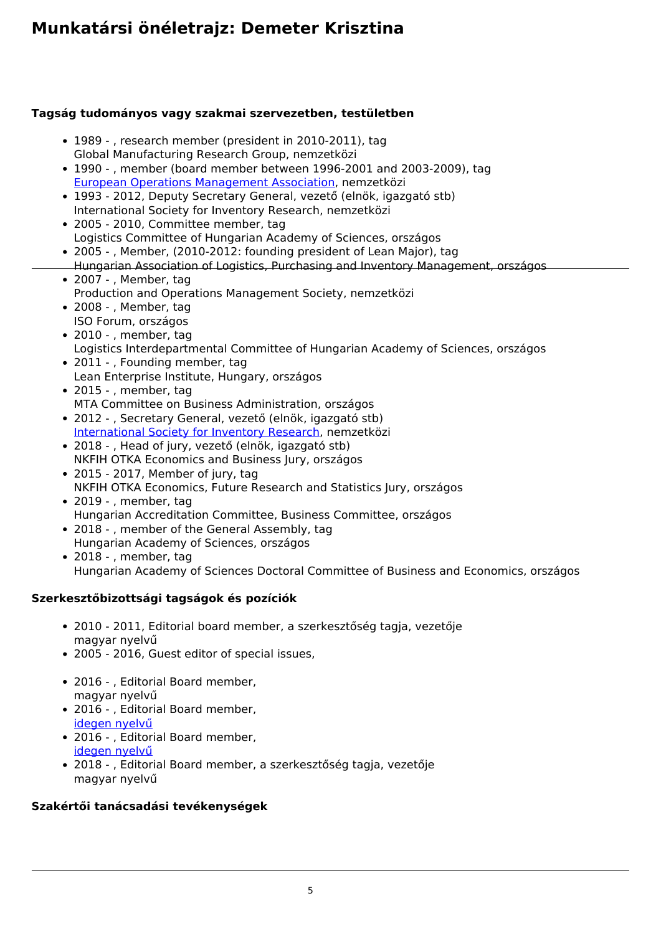#### **Tagság tudományos vagy szakmai szervezetben, testületben**

- 1989 , research member (president in 2010-2011), tag Global Manufacturing Research Group, nemzetközi
- 1990 , member (board member between 1996-2001 and 2003-2009), tag [European Operations Management Association,](http://euroma-online.org/) nemzetközi
- 1993 2012, Deputy Secretary General, vezető (elnök, igazgató stb) International Society for Inventory Research, nemzetközi
- 2005 2010, Committee member, tag Logistics Committee of Hungarian Academy of Sciences, országos
- 2005 , Member, (2010-2012: founding president of Lean Major), tag
- Hungarian Association of Logistics, Purchasing and Inventory Management, országos 2007 - , Member, tag
- Production and Operations Management Society, nemzetközi
- 2008 , Member, tag ISO Forum, országos
- 2010 , member, tag Logistics Interdepartmental Committee of Hungarian Academy of Sciences, országos
- 2011 , Founding member, tag Lean Enterprise Institute, Hungary, országos
- 2015 , member, tag MTA Committee on Business Administration, országos
- 2012 , Secretary General, vezető (elnök, igazgató stb) [International Society for Inventory Research](https://isir.hu/about/bodies-and-officials-2/), nemzetközi
- 2018 , Head of jury, vezető (elnök, igazgató stb) NKFIH OTKA Economics and Business Jury, országos
- 2015 2017, Member of jury, tag NKFIH OTKA Economics, Future Research and Statistics Jury, országos
- 2019 , member, tag Hungarian Accreditation Committee, Business Committee, országos
- 2018 , member of the General Assembly, tag Hungarian Academy of Sciences, országos
- 2018 , member, tag Hungarian Academy of Sciences Doctoral Committee of Business and Economics, országos

#### **Szerkesztőbizottsági tagságok és pozíciók**

- 2010 2011, Editorial board member, a szerkesztőség tagja, vezetője magyar nyelvű
- 2005 2016, Guest editor of special issues,
- 2016 , Editorial Board member, magyar nyelvű
- 2016 , Editorial Board member, [idegen nyelvű](https://www.emeraldgrouppublishing.com/products/journals/editorial_team.htm?id=jmtm)
- 2016 , Editorial Board member, [idegen nyelvű](http://studiaoeconomica.reviste.ubbcluj.ro/editorial_board.html)
- 2018 , Editorial Board member, a szerkesztőség tagja, vezetője magyar nyelvű

#### **Szakértői tanácsadási tevékenységek**